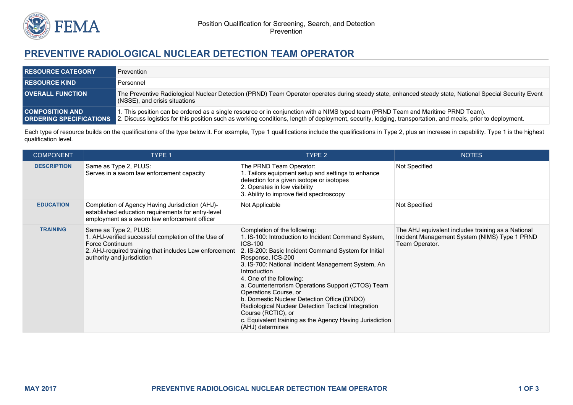

## **PREVENTIVE RADIOLOGICAL NUCLEAR DETECTION TEAM OPERATOR**

| <b>RESOURCE CATEGORY</b>                                 | Prevention                                                                                                                                                                                                                                                                                      |
|----------------------------------------------------------|-------------------------------------------------------------------------------------------------------------------------------------------------------------------------------------------------------------------------------------------------------------------------------------------------|
| <b>RESOURCE KIND</b>                                     | Personnel                                                                                                                                                                                                                                                                                       |
| <b>OVERALL FUNCTION</b>                                  | The Preventive Radiological Nuclear Detection (PRND) Team Operator operates during steady state, enhanced steady state, National Special Security Event<br>(NSSE), and crisis situations                                                                                                        |
| <b>COMPOSITION AND</b><br><b>ORDERING SPECIFICATIONS</b> | . This position can be ordered as a single resource or in conjunction with a NIMS typed team (PRND Team and Maritime PRND Team).<br>2. Discuss logistics for this position such as working conditions, length of deployment, security, lodging, transportation, and meals, prior to deployment. |

Each type of resource builds on the qualifications of the type below it. For example, Type 1 qualifications include the qualifications in Type 2, plus an increase in capability. Type 1 is the highest qualification level.

| <b>COMPONENT</b>   | <b>TYPE 1</b>                                                                                                                                                                           | TYPE 2                                                                                                                                                                                                                                                                                                                                                                                                                                                                                                                                                                          | <b>NOTES</b>                                                                                                          |
|--------------------|-----------------------------------------------------------------------------------------------------------------------------------------------------------------------------------------|---------------------------------------------------------------------------------------------------------------------------------------------------------------------------------------------------------------------------------------------------------------------------------------------------------------------------------------------------------------------------------------------------------------------------------------------------------------------------------------------------------------------------------------------------------------------------------|-----------------------------------------------------------------------------------------------------------------------|
| <b>DESCRIPTION</b> | Same as Type 2, PLUS:<br>Serves in a sworn law enforcement capacity                                                                                                                     | The PRND Team Operator:<br>1. Tailors equipment setup and settings to enhance<br>detection for a given isotope or isotopes<br>2. Operates in low visibility<br>3. Ability to improve field spectroscopy                                                                                                                                                                                                                                                                                                                                                                         | Not Specified                                                                                                         |
| <b>EDUCATION</b>   | Completion of Agency Having Jurisdiction (AHJ)-<br>established education requirements for entry-level<br>employment as a sworn law enforcement officer                                  | Not Applicable                                                                                                                                                                                                                                                                                                                                                                                                                                                                                                                                                                  | Not Specified                                                                                                         |
| <b>TRAINING</b>    | Same as Type 2, PLUS:<br>1. AHJ-verified successful completion of the Use of<br>Force Continuum<br>2. AHJ-required training that includes Law enforcement<br>authority and jurisdiction | Completion of the following:<br>1. IS-100: Introduction to Incident Command System,<br><b>ICS-100</b><br>2. IS-200: Basic Incident Command System for Initial<br>Response, ICS-200<br>3. IS-700: National Incident Management System, An<br>Introduction<br>4. One of the following:<br>a. Counterterrorism Operations Support (CTOS) Team<br>Operations Course, or<br>b. Domestic Nuclear Detection Office (DNDO)<br>Radiological Nuclear Detection Tactical Integration<br>Course (RCTIC), or<br>c. Equivalent training as the Agency Having Jurisdiction<br>(AHJ) determines | The AHJ equivalent includes training as a National<br>Incident Management System (NIMS) Type 1 PRND<br>Team Operator. |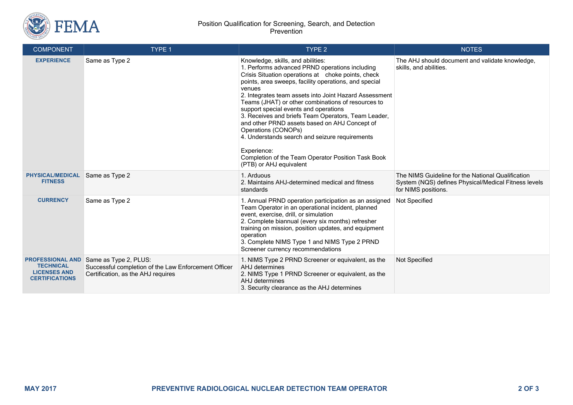

## Position Qualification for Screening, Search, and Detection Prevention

| <b>COMPONENT</b>                                                                            | TYPE 1                                                                                                              | TYPE <sub>2</sub>                                                                                                                                                                                                                                                                                                                                                                                                                                                                                                                                                                                                                                      | <b>NOTES</b>                                                                                                                     |
|---------------------------------------------------------------------------------------------|---------------------------------------------------------------------------------------------------------------------|--------------------------------------------------------------------------------------------------------------------------------------------------------------------------------------------------------------------------------------------------------------------------------------------------------------------------------------------------------------------------------------------------------------------------------------------------------------------------------------------------------------------------------------------------------------------------------------------------------------------------------------------------------|----------------------------------------------------------------------------------------------------------------------------------|
| <b>EXPERIENCE</b>                                                                           | Same as Type 2                                                                                                      | Knowledge, skills, and abilities:<br>1. Performs advanced PRND operations including<br>Crisis Situation operations at choke points, check<br>points, area sweeps, facility operations, and special<br>venues<br>2. Integrates team assets into Joint Hazard Assessment<br>Teams (JHAT) or other combinations of resources to<br>support special events and operations<br>3. Receives and briefs Team Operators, Team Leader,<br>and other PRND assets based on AHJ Concept of<br>Operations (CONOPs)<br>4. Understands search and seizure requirements<br>Experience:<br>Completion of the Team Operator Position Task Book<br>(PTB) or AHJ equivalent | The AHJ should document and validate knowledge,<br>skills, and abilities.                                                        |
| <b>PHYSICAL/MEDICAL</b><br><b>FITNESS</b>                                                   | Same as Type 2                                                                                                      | 1. Arduous<br>2. Maintains AHJ-determined medical and fitness<br>standards                                                                                                                                                                                                                                                                                                                                                                                                                                                                                                                                                                             | The NIMS Guideline for the National Qualification<br>System (NQS) defines Physical/Medical Fitness levels<br>for NIMS positions. |
| <b>CURRENCY</b>                                                                             | Same as Type 2                                                                                                      | 1. Annual PRND operation participation as an assigned<br>Team Operator in an operational incident, planned<br>event, exercise, drill, or simulation<br>2. Complete biannual (every six months) refresher<br>training on mission, position updates, and equipment<br>operation<br>3. Complete NIMS Type 1 and NIMS Type 2 PRND<br>Screener currency recommendations                                                                                                                                                                                                                                                                                     | Not Specified                                                                                                                    |
| <b>PROFESSIONAL AND</b><br><b>TECHNICAL</b><br><b>LICENSES AND</b><br><b>CERTIFICATIONS</b> | Same as Type 2, PLUS:<br>Successful completion of the Law Enforcement Officer<br>Certification, as the AHJ requires | 1. NIMS Type 2 PRND Screener or equivalent, as the<br>AHJ determines<br>2. NIMS Type 1 PRND Screener or equivalent, as the<br>AHJ determines<br>3. Security clearance as the AHJ determines                                                                                                                                                                                                                                                                                                                                                                                                                                                            | Not Specified                                                                                                                    |